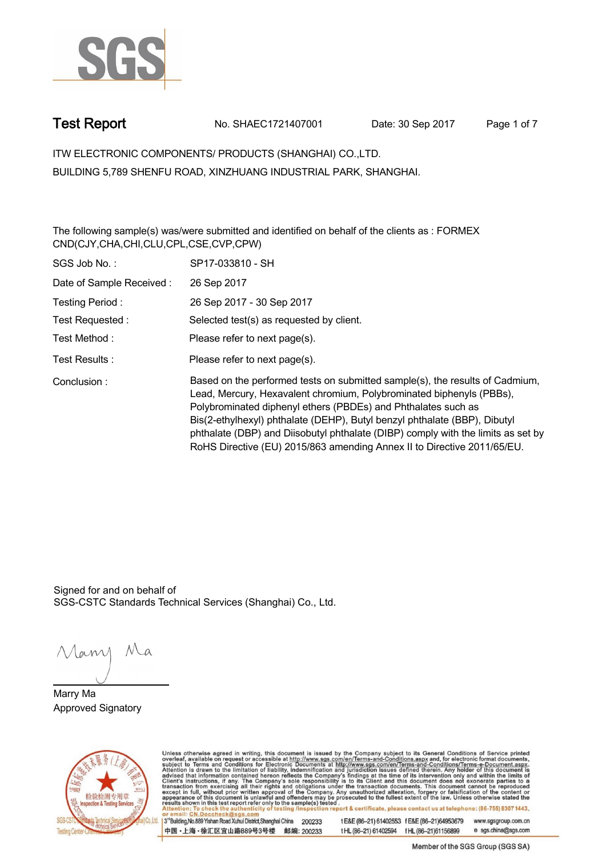

**Test Report. No. SHAEC1721407001 Date: 30 Sep 2017. Page 1 of 7.**

**ITW ELECTRONIC COMPONENTS/ PRODUCTS (SHANGHAI) CO.,LTD. . BUILDING 5,789 SHENFU ROAD, XINZHUANG INDUSTRIAL PARK, SHANGHAI.**

**The following sample(s) was/were submitted and identified on behalf of the clients as : FORMEX CND(CJY,CHA,CHI,CLU,CPL,CSE,CVP,CPW) .**

| SGS Job No.:             | SP17-033810 - SH                                                                                                                                                                                                                                                                                                                                                                                                                                                  |
|--------------------------|-------------------------------------------------------------------------------------------------------------------------------------------------------------------------------------------------------------------------------------------------------------------------------------------------------------------------------------------------------------------------------------------------------------------------------------------------------------------|
| Date of Sample Received: | 26 Sep 2017                                                                                                                                                                                                                                                                                                                                                                                                                                                       |
| Testing Period:          | 26 Sep 2017 - 30 Sep 2017                                                                                                                                                                                                                                                                                                                                                                                                                                         |
| Test Requested:          | Selected test(s) as requested by client.                                                                                                                                                                                                                                                                                                                                                                                                                          |
| Test Method :            | Please refer to next page(s).                                                                                                                                                                                                                                                                                                                                                                                                                                     |
| Test Results:            | Please refer to next page(s).                                                                                                                                                                                                                                                                                                                                                                                                                                     |
| Conclusion:              | Based on the performed tests on submitted sample(s), the results of Cadmium,<br>Lead, Mercury, Hexavalent chromium, Polybrominated biphenyls (PBBs),<br>Polybrominated diphenyl ethers (PBDEs) and Phthalates such as<br>Bis(2-ethylhexyl) phthalate (DEHP), Butyl benzyl phthalate (BBP), Dibutyl<br>phthalate (DBP) and Diisobutyl phthalate (DIBP) comply with the limits as set by<br>RoHS Directive (EU) 2015/863 amending Annex II to Directive 2011/65/EU. |

Signed for and on behalf of SGS-CSTC Standards Technical Services (Shanghai) Co., Ltd..

Many Ma

**Marry Ma. Approved Signatory .**



Unless otherwise agreed in writing, this document is issued by the Company subject to its General Conditions of Service printed<br>overleaf, available on request or accessible at http://www.sgs.com/en/Terms-and-Conditions.asp tE&E (86-21) 61402553 fE&E (86-21)64953679 www.sgsgroup.com.cn

3<sup>rd</sup>Building, No.889 Yishan Road Xuhui District, Shanghai China 200233 中国·上海·徐汇区宜山路889号3号楼 邮编: 200233

t HL (86-21) 61402594 f HL (86-21) 61156899 e sgs.china@sgs.com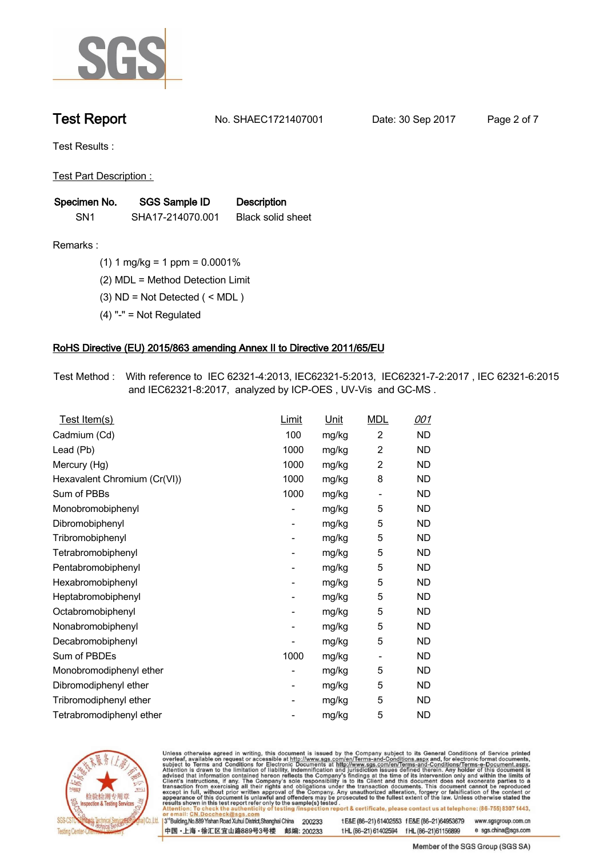

**Test Report. No. SHAEC1721407001 Date: 30 Sep 2017. Page 2 of 7.**

**Test Results :.**

**Test Part Description : .**

| Specimen No.    | SGS Sample ID    | <b>Description</b>       |  |
|-----------------|------------------|--------------------------|--|
| SN <sub>1</sub> | SHA17-214070.001 | <b>Black solid sheet</b> |  |

- **Remarks :.(1) 1 mg/kg = 1 ppm = 0.0001% .**
	- **(2) MDL = Method Detection Limit .**
	- **(3) ND = Not Detected ( < MDL ) .**
	- **(4) "-" = Not Regulated .**

### **RoHS Directive (EU) 2015/863 amending Annex II to Directive 2011/65/EU.**

**Test Method :. With reference to IEC 62321-4:2013, IEC62321-5:2013, IEC62321-7-2:2017 , IEC 62321-6:2015 and IEC62321-8:2017, analyzed by ICP-OES , UV-Vis and GC-MS . .**

| <u>Test Item(s)</u>          | <u>Limit</u>             | <u>Unit</u> | <b>MDL</b>               | 001       |
|------------------------------|--------------------------|-------------|--------------------------|-----------|
| Cadmium (Cd)                 | 100                      | mg/kg       | $\overline{c}$           | ND        |
| Lead (Pb)                    | 1000                     | mg/kg       | 2                        | <b>ND</b> |
| Mercury (Hg)                 | 1000                     | mg/kg       | 2                        | ND        |
| Hexavalent Chromium (Cr(VI)) | 1000                     | mg/kg       | 8                        | ND        |
| Sum of PBBs                  | 1000                     | mg/kg       | $\overline{\phantom{a}}$ | <b>ND</b> |
| Monobromobiphenyl            | -                        | mg/kg       | 5                        | <b>ND</b> |
| Dibromobiphenyl              | $\overline{\phantom{0}}$ | mg/kg       | 5                        | <b>ND</b> |
| Tribromobiphenyl             | $\overline{\phantom{0}}$ | mg/kg       | 5                        | <b>ND</b> |
| Tetrabromobiphenyl           | -                        | mg/kg       | 5                        | ND        |
| Pentabromobiphenyl           | $\overline{\phantom{0}}$ | mg/kg       | 5                        | ND        |
| Hexabromobiphenyl            | -                        | mg/kg       | 5                        | ND        |
| Heptabromobiphenyl           | $\overline{\phantom{a}}$ | mg/kg       | 5                        | <b>ND</b> |
| Octabromobiphenyl            | -                        | mg/kg       | 5                        | <b>ND</b> |
| Nonabromobiphenyl            | -                        | mg/kg       | 5                        | ND        |
| Decabromobiphenyl            | $\overline{a}$           | mg/kg       | 5                        | <b>ND</b> |
| Sum of PBDEs                 | 1000                     | mg/kg       | $\overline{\phantom{a}}$ | <b>ND</b> |
| Monobromodiphenyl ether      | -                        | mg/kg       | 5                        | ND        |
| Dibromodiphenyl ether        | ۰                        | mg/kg       | 5                        | <b>ND</b> |
| Tribromodiphenyl ether       | -                        | mg/kg       | 5                        | ND        |
| Tetrabromodiphenyl ether     |                          | mg/kg       | 5                        | <b>ND</b> |



Unless otherwise agreed in writing, this document is issued by the Company subject to its General Conditions of Service printed overleaf, available on request or accessible at http://www.sgs.com/en/Terms-and-Conditions.asp

3<sup>rd</sup>Building, No.889 Yishan Road Xuhui District, Shanghai China 200233 中国·上海·徐汇区宜山路889号3号楼 邮编: 200233 t E&E (86-21) 61402553 f E&E (86-21)64953679 www.sgsgroup.com.cn

t HL (86-21) 61402594 f HL (86-21) 61156899 e sgs.china@sgs.com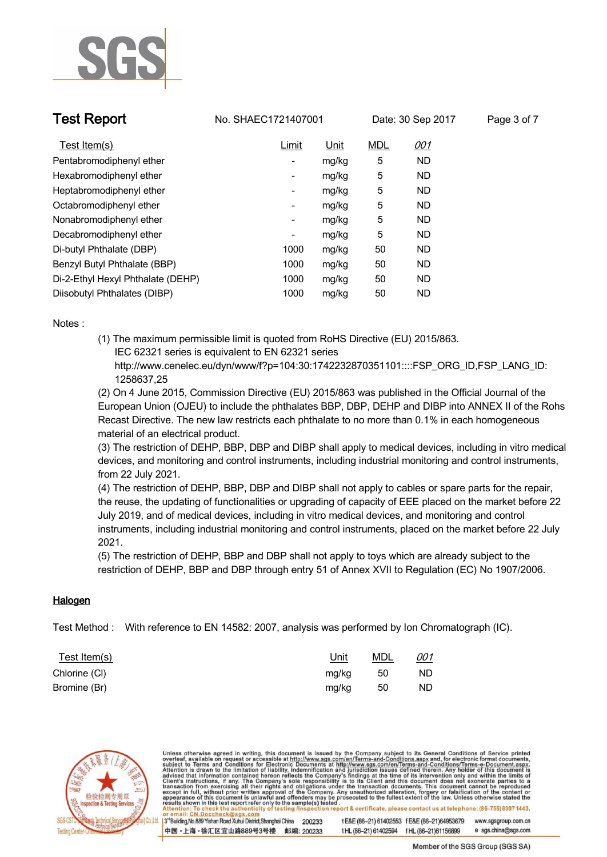

**Test Report No. SHAEC1721407001** Date: 30 Sep 2017 Page 3 of 7

| Test Item(s)                      | Limit                    | <u>Unit</u> | <b>MDL</b> | <u>001</u> |
|-----------------------------------|--------------------------|-------------|------------|------------|
| Pentabromodiphenyl ether          | ۰                        | mg/kg       | 5          | ND.        |
| Hexabromodiphenyl ether           | ۰.                       | mg/kg       | 5          | ND.        |
| Heptabromodiphenyl ether          | ۰                        | mg/kg       | 5          | ND         |
| Octabromodiphenyl ether           | ۰                        | mg/kg       | 5          | ND.        |
| Nonabromodiphenyl ether           | $\overline{\phantom{a}}$ | mg/kg       | 5          | ND.        |
| Decabromodiphenyl ether           | ۰                        | mg/kg       | 5          | ND.        |
| Di-butyl Phthalate (DBP)          | 1000                     | mg/kg       | 50         | ND.        |
| Benzyl Butyl Phthalate (BBP)      | 1000                     | mg/kg       | 50         | <b>ND</b>  |
| Di-2-Ethyl Hexyl Phthalate (DEHP) | 1000                     | mg/kg       | 50         | ND.        |
| Diisobutyl Phthalates (DIBP)      | 1000                     | mg/kg       | 50         | <b>ND</b>  |

**Notes :.**

**(1) The maximum permissible limit is quoted from RoHS Directive (EU) 2015/863. IEC 62321 series is equivalent to EN 62321 series**

 **http://www.cenelec.eu/dyn/www/f?p=104:30:1742232870351101::::FSP\_ORG\_ID,FSP\_LANG\_ID: 1258637,25**

**(2) On 4 June 2015, Commission Directive (EU) 2015/863 was published in the Official Journal of the European Union (OJEU) to include the phthalates BBP, DBP, DEHP and DIBP into ANNEX II of the Rohs Recast Directive. The new law restricts each phthalate to no more than 0.1% in each homogeneous material of an electrical product.** 

**(3) The restriction of DEHP, BBP, DBP and DIBP shall apply to medical devices, including in vitro medical devices, and monitoring and control instruments, including industrial monitoring and control instruments, from 22 July 2021.**

**(4) The restriction of DEHP, BBP, DBP and DIBP shall not apply to cables or spare parts for the repair, the reuse, the updating of functionalities or upgrading of capacity of EEE placed on the market before 22 July 2019, and of medical devices, including in vitro medical devices, and monitoring and control instruments, including industrial monitoring and control instruments, placed on the market before 22 July 2021.** 

**(5) The restriction of DEHP, BBP and DBP shall not apply to toys which are already subject to the restriction of DEHP, BBP and DBP through entry 51 of Annex XVII to Regulation (EC) No 1907/2006. .**

### **Halogen.**

**Test Method :. With reference to EN 14582: 2007, analysis was performed by Ion Chromatograph (IC). .**

| <u>Test Item(s)</u> | <u>Unit</u> | <u>MDL</u> | <u>001</u> |
|---------------------|-------------|------------|------------|
| Chlorine (CI)       | mg/kg       | 50         | <b>ND</b>  |
| Bromine (Br)        | mg/kg       | - 50       | <b>ND</b>  |



Unless otherwise agreed in writing, this document is issued by the Company subject to its General Conditions of Service printed overleaf, available on request or accessible at http://www.sgs.com/en/Terms-and-Conditions.asp results shown in this test report refer only to the sample(s) tested report & certificate, please contact us at telephone: (86-755) 8307 1443, 3<sup>rd</sup> Building, No.889 Yishan Road Xuhui District, Shanghai China t E&E (86-21) 61402553 f E&E (86-21)64953679 www.sgsgroup.com.cn 200233 中国·上海·徐汇区宜山路889号3号楼 邮编: 200233 e sgs.china@sgs.com tHL (86-21) 61402594 fHL (86-21) 61156899

Member of the SGS Group (SGS SA)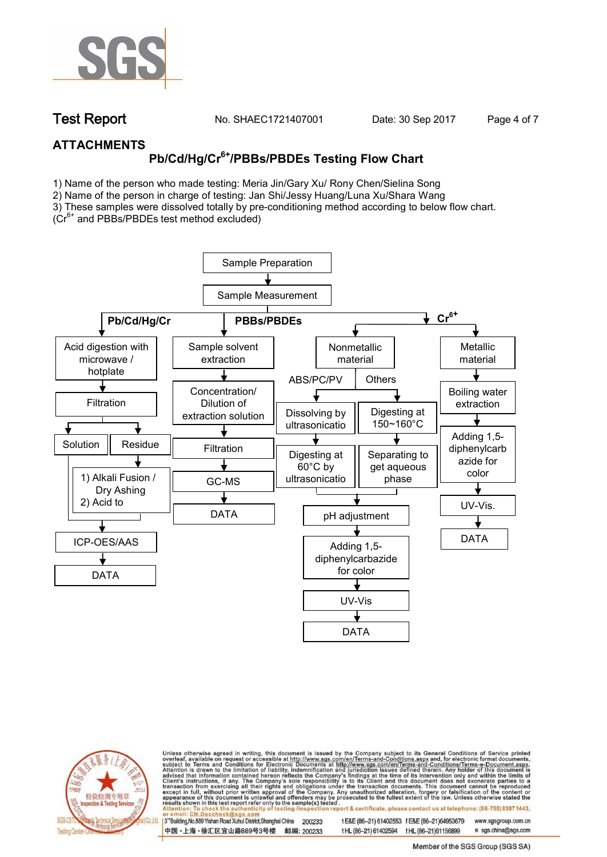

**Test Report. No. SHAEC1721407001 Date: 30 Sep 2017. Page 4 of 7.**

### **ATTACHMENTS**

# **Pb/Cd/Hg/Cr6+/PBBs/PBDEs Testing Flow Chart**

1) Name of the person who made testing: Meria Jin/Gary Xu/ Rony Chen/Sielina Song

2) Name of the person in charge of testing: Jan Shi/Jessy Huang/Luna Xu/Shara Wang

3) These samples were dissolved totally by pre-conditioning method according to below flow chart.

(Cr6+ and PBBs/PBDEs test method excluded)





Unless otherwise agreed in writing, this document is issued by the Company subject to its General Conditions of Service printed overleaf, available on request or accessible at http://www.sgs.com/en/Terms-and-Conditions.asp ion report & certificate, please contact us at telephone: (86-755) 8307 1443, esting/ins

13<sup>rd</sup> Building, No.889 Yishan Road Xuhui District, Shanghai China 200233 中国·上海·徐汇区宜山路889号3号楼 邮编: 200233 tE&E (86-21) 61402553 fE&E (86-21)64953679 www.sgsgroup.com.cn

t HL (86-21) 61402594 f HL (86-21)61156899 e sgs.china@sgs.com

Member of the SGS Group (SGS SA)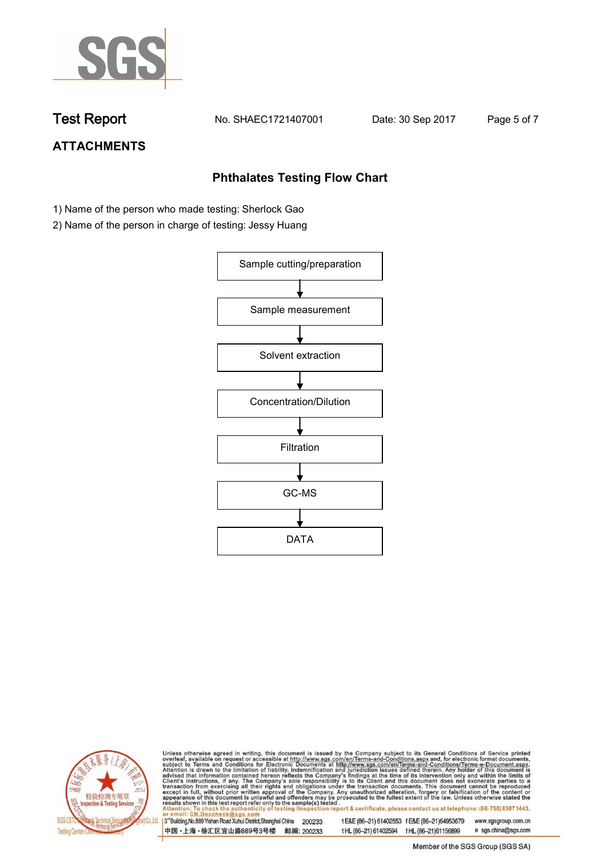

**Test Report. No. SHAEC1721407001 Date: 30 Sep 2017. Page 5 of 7.**

# **ATTACHMENTS**

### **Phthalates Testing Flow Chart**

- 1) Name of the person who made testing: Sherlock Gao
- 2) Name of the person in charge of testing: Jessy Huang





Unless otherwise agreed in writing, this document is issued by the Company subject to its General Conditions of Service printed overleaf, available on request or accessible at http://www.sgs.com/en/Terms-and-Conditions.asp

3<sup>rd</sup>Building, No.889 Yishan Road Xuhui District, Shanghai China 200233 中国·上海·徐汇区宜山路889号3号楼 邮编: 200233 t E&E (86-21) 61402553 f E&E (86-21)64953679 www.sgsgroup.com.cn t HL (86-21) 61402594 f HL (86-21) 61156899 e sgs.china@sgs.com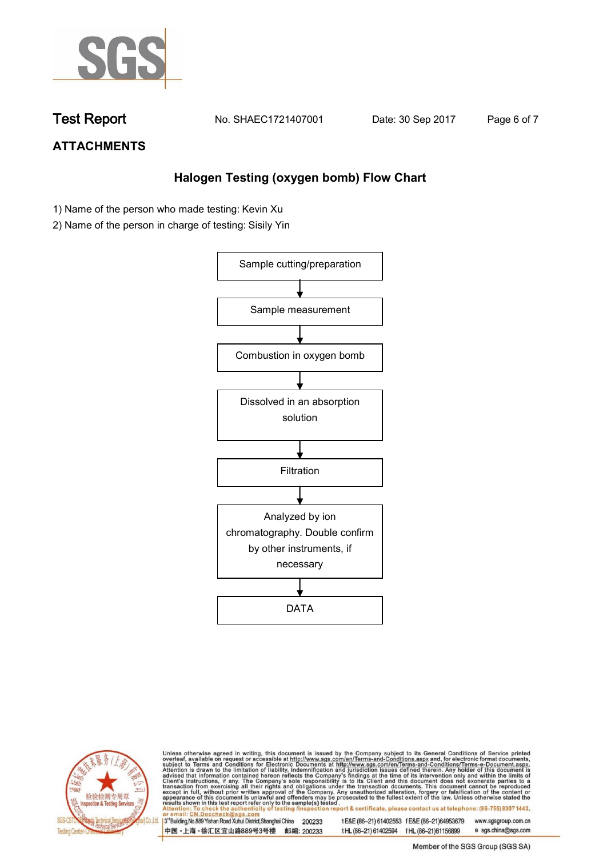

**Test Report. No. SHAEC1721407001 Date: 30 Sep 2017. Page 6 of 7.**

## **ATTACHMENTS**

### **Halogen Testing (oxygen bomb) Flow Chart**

- 1) Name of the person who made testing: Kevin Xu
- 2) Name of the person in charge of testing: Sisily Yin





Unless otherwise agreed in writing, this document is issued by the Company subject to its General Conditions of Service printed overleaf, available on request or accessible at http://www.sgs.com/en/Terms-and-Conditions.asp

3<sup>rd</sup>Building, No.889 Yishan Road Xuhui District, Shanghai China 200233 中国·上海·徐汇区宜山路889号3号楼 邮编: 200233

t E&E (86-21) 61402553 f E&E (86-21)64953679 www.sgsgroup.com.cn t HL (86-21) 61402594 f HL (86-21) 61156899 e sgs.china@sgs.com